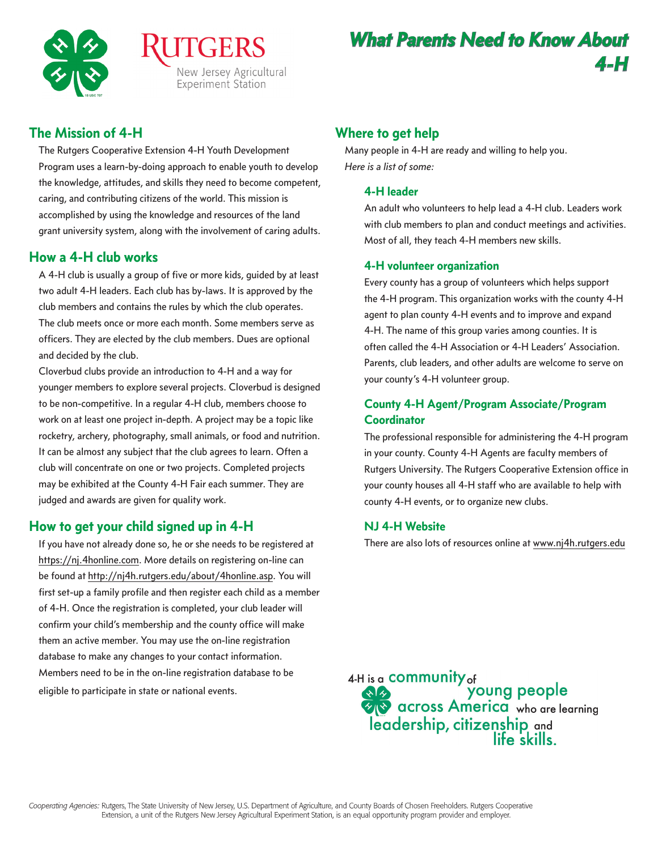

# The Mission of 4-H

The Rutgers Cooperative Extension 4-H Youth Development Program uses a learn-by-doing approach to enable youth to develop the knowledge, attitudes, and skills they need to become competent, caring, and contributing citizens of the world. This mission is accomplished by using the knowledge and resources of the land grant university system, along with the involvement of caring adults.

## How a 4-H club works

A 4-H club is usually a group of five or more kids, guided by at least two adult 4-H leaders. Each club has by-laws. It is approved by the club members and contains the rules by which the club operates. The club meets once or more each month. Some members serve as officers. They are elected by the club members. Dues are optional and decided by the club.

Cloverbud clubs provide an introduction to 4-H and a way for younger members to explore several projects. Cloverbud is designed to be non-competitive. In a regular 4-H club, members choose to work on at least one project in-depth. A project may be a topic like rocketry, archery, photography, small animals, or food and nutrition. It can be almost any subject that the club agrees to learn. Often a club will concentrate on one or two projects. Completed projects may be exhibited at the County 4-H Fair each summer. They are judged and awards are given for quality work.

# How to get your child signed up in 4-H

If you have not already done so, he or she needs to be registered at https://nj.4honline.com. More details on registering on-line can be found at http://nj4h.rutgers.edu/about/4honline.asp. You will first set-up a family profile and then register each child as a member of 4-H. Once the registration is completed, your club leader will confirm your child's membership and the county office will make them an active member. You may use the on-line registration database to make any changes to your contact information. Members need to be in the on-line registration database to be eligible to participate in state or national events.

# Where to get help

Many people in 4-H are ready and willing to help you. *Here is a list of some:*

#### **4-H leader**

An adult who volunteers to help lead a 4-H club. Leaders work with club members to plan and conduct meetings and activities. Most of all, they teach 4-H members new skills.

### **4-H volunteer organization**

Every county has a group of volunteers which helps support the 4-H program. This organization works with the county 4-H agent to plan county 4-H events and to improve and expand 4-H. The name of this group varies among counties. It is often called the 4-H Association or 4-H Leaders' Association. Parents, club leaders, and other adults are welcome to serve on your county's 4-H volunteer group.

## **County 4-H Agent/Program Associate/Program Coordinator**

The professional responsible for administering the 4-H program in your county. County 4-H Agents are faculty members of Rutgers University. The Rutgers Cooperative Extension office in your county houses all 4-H staff who are available to help with county 4-H events, or to organize new clubs.

### **NJ 4-H Website**

There are also lots of resources online at www.nj4h.rutgers.edu

4-H is a **COMMUNITY** of **SASE COMMONS**<br> **SASE CONSTRUCTED**<br> **SASE CONS** CONSIDER THE ONE OF THE SAME TO A GODD OF THE SASE OF THE SASE OF THE SAME OF THE SAME OF THE SAME OF THE SAME OF THE SAME OF THE SAME OF THE SAME OF THE SAME OF THE SAME OF leadership, citizenship and